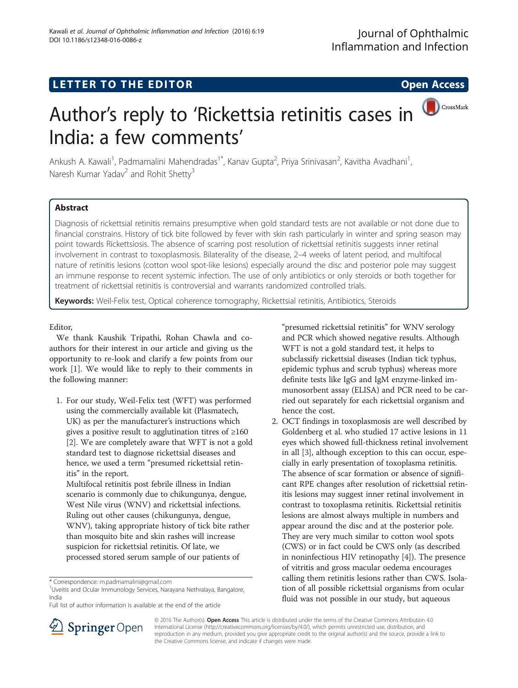# LETTER TO THE EDITOR **CONSIDERATION**

CrossMark

# Author's reply to 'Rickettsia retinitis cases in India: a few comments'

Ankush A. Kawali<sup>1</sup>, Padmamalini Mahendradas<sup>1\*</sup>, Kanav Gupta<sup>2</sup>, Priya Srinivasan<sup>2</sup>, Kavitha Avadhani<sup>1</sup> , Naresh Kumar Yadav<sup>2</sup> and Rohit Shetty<sup>3</sup>

# Abstract

Diagnosis of rickettsial retinitis remains presumptive when gold standard tests are not available or not done due to financial constrains. History of tick bite followed by fever with skin rash particularly in winter and spring season may point towards Rickettsiosis. The absence of scarring post resolution of rickettsial retinitis suggests inner retinal involvement in contrast to toxoplasmosis. Bilaterality of the disease, 2–4 weeks of latent period, and multifocal nature of retinitis lesions (cotton wool spot-like lesions) especially around the disc and posterior pole may suggest an immune response to recent systemic infection. The use of only antibiotics or only steroids or both together for treatment of rickettsial retinitis is controversial and warrants randomized controlled trials.

Keywords: Weil-Felix test, Optical coherence tomography, Rickettsial retinitis, Antibiotics, Steroids

## Editor,

We thank Kaushik Tripathi, Rohan Chawla and coauthors for their interest in our article and giving us the opportunity to re-look and clarify a few points from our work [\[1](#page-1-0)]. We would like to reply to their comments in the following manner:

1. For our study, Weil-Felix test (WFT) was performed using the commercially available kit (Plasmatech, UK) as per the manufacturer's instructions which gives a positive result to agglutination titres of ≥160 [\[2](#page-1-0)]. We are completely aware that WFT is not a gold standard test to diagnose rickettsial diseases and hence, we used a term "presumed rickettsial retinitis" in the report.

Multifocal retinitis post febrile illness in Indian scenario is commonly due to chikungunya, dengue, West Nile virus (WNV) and rickettsial infections. Ruling out other causes (chikungunya, dengue, WNV), taking appropriate history of tick bite rather than mosquito bite and skin rashes will increase suspicion for rickettsial retinitis. Of late, we processed stored serum sample of our patients of

"presumed rickettsial retinitis" for WNV serology and PCR which showed negative results. Although WFT is not a gold standard test, it helps to subclassify rickettsial diseases (Indian tick typhus, epidemic typhus and scrub typhus) whereas more definite tests like IgG and IgM enzyme-linked immunosorbent assay (ELISA) and PCR need to be carried out separately for each rickettsial organism and hence the cost.

2. OCT findings in toxoplasmosis are well described by Goldenberg et al. who studied 17 active lesions in 11 eyes which showed full-thickness retinal involvement in all [\[3](#page-1-0)], although exception to this can occur, especially in early presentation of toxoplasma retinitis. The absence of scar formation or absence of significant RPE changes after resolution of rickettsial retinitis lesions may suggest inner retinal involvement in contrast to toxoplasma retinitis. Rickettsial retinitis lesions are almost always multiple in numbers and appear around the disc and at the posterior pole. They are very much similar to cotton wool spots (CWS) or in fact could be CWS only (as described in noninfectious HIV retinopathy [\[4\]](#page-1-0)). The presence of vitritis and gross macular oedema encourages calling them retinitis lesions rather than CWS. Isolation of all possible rickettsial organisms from ocular fluid was not possible in our study, but aqueous



© 2016 The Author(s). Open Access This article is distributed under the terms of the Creative Commons Attribution 4.0 International License ([http://creativecommons.org/licenses/by/4.0/\)](http://creativecommons.org/licenses/by/4.0/), which permits unrestricted use, distribution, and reproduction in any medium, provided you give appropriate credit to the original author(s) and the source, provide a link to the Creative Commons license, and indicate if changes were made.

<sup>\*</sup> Correspondence: [m.padmamalini@gmail.com](mailto:m.padmamalini@gmail.com) <sup>1</sup>

<sup>&</sup>lt;sup>1</sup> Uveitis and Ocular Immunology Services, Narayana Nethralaya, Bangalore, India

Full list of author information is available at the end of the article